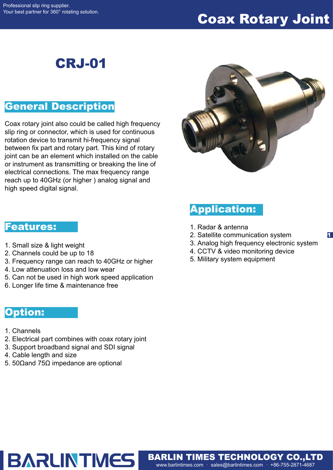# Coax Rotary Joint

# CRJ-01

## General Description

Coax rotary joint also could be called high frequency slip ring or connector, which is used for continuous rotation device to transmit hi-frequency signal between fix part and rotary part. This kind of rotary joint can be an element which installed on the cable or instrument as transmitting or breaking the line of electrical connections. The max frequency range reach up to 40GHz (or higher ) analog signal and high speed digital signal.



## Application:

- 1. Radar & antenna
- 2. Satellite communication system
- 3. Analog high frequency electronic system

1

- 4. CCTV & video monitoring device
- 5. Military system equipment

www.barlintimes.com · sales@barlintimes.com · +86-755-2871-4687 BARLIN TIMES TECHNOLOGY CO.,LTD

#### Features:

- 1. Small size & light weight
- 2. Channels could be up to 18
- 3. Frequency range can reach to 40GHz or higher
- 4. Low attenuation loss and low wear
- 5. Can not be used in high work speed application
- 6. Longer life time & maintenance free

### Option:

- 1. Channels
- 2. Electrical part combines with coax rotary joint
- 3. Support broadband signal and SDI signal

**BARLINTMES** 

- 4. Cable length and size
- 5. 50Ωand 75Ω impedance are optional